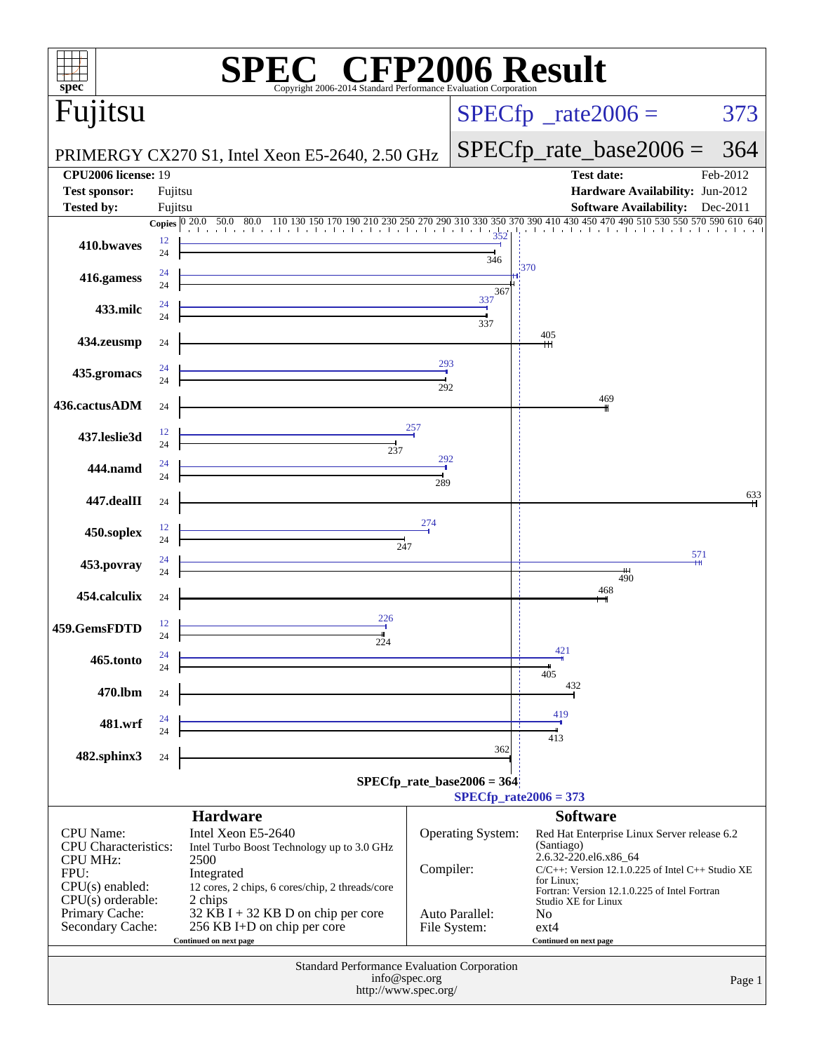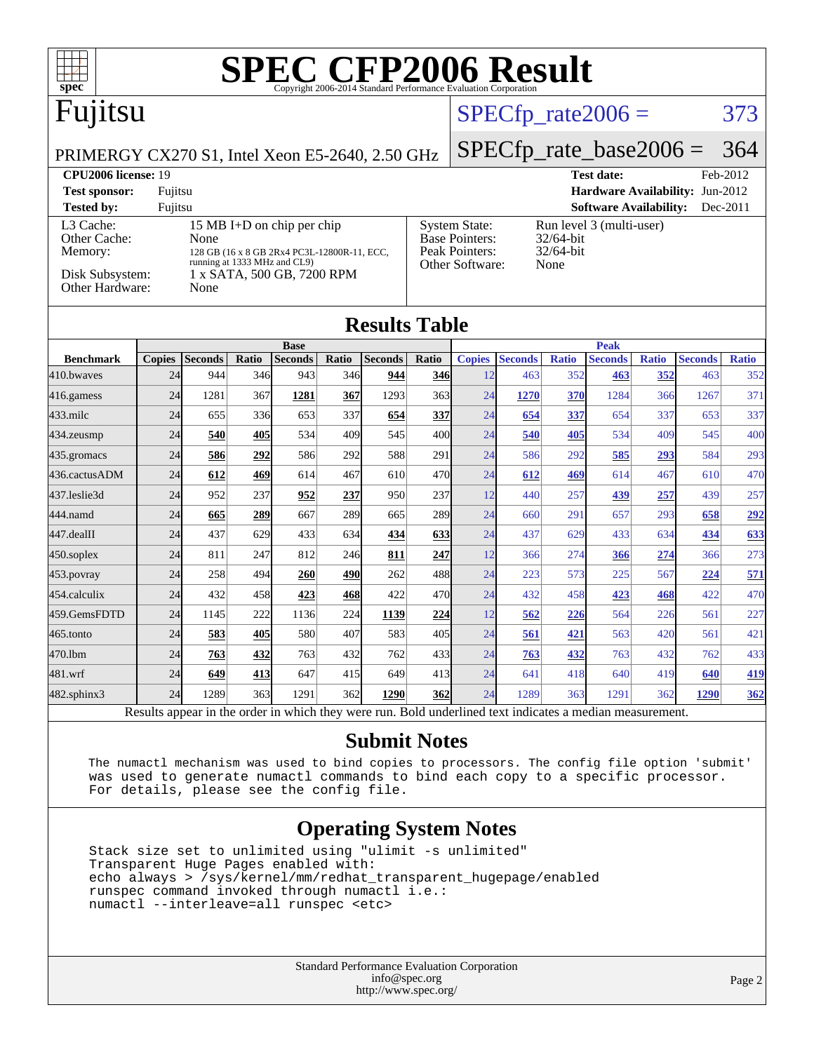

| 436.cactusADM | 24 | 612  | 469 | 614  | 467 | 610  | 470 <sub>l</sub> | 24 | 612 | 469 | 614 | 467 | 610 | 470        |
|---------------|----|------|-----|------|-----|------|------------------|----|-----|-----|-----|-----|-----|------------|
| 437.leslie3d  | 24 | 952  | 237 | 952  | 237 | 950  | 237              | 12 | 440 | 257 | 439 | 257 | 439 | 257        |
| 444.namd      | 24 | 665  | 289 | 667  | 289 | 665  | 289              | 24 | 660 | 291 | 657 | 293 | 658 | <u>292</u> |
| 447.dealII    | 24 | 437  | 629 | 433  | 634 | 434  | 633              | 24 | 437 | 629 | 433 | 634 | 434 | 633        |
| 450.soplex    | 24 | 811  | 247 | 812  | 246 | 811  | 247              | 12 | 366 | 274 | 366 | 274 | 366 | 273        |
| 453.povray    | 24 | 258  | 494 | 260  | 490 | 262  | 488              | 24 | 223 | 573 | 225 | 567 | 224 | 571        |
| 454.calculix  | 24 | 432  | 458 | 423  | 468 | 422  | 470 <sub>l</sub> | 24 | 432 | 458 | 423 | 468 | 422 | 470        |
| 459.GemsFDTD  | 24 | 1145 | 222 | 1136 | 224 | 1139 | 224              | 12 | 562 | 226 | 564 | 226 | 561 | 227        |
| 465.tonto     | 24 | 583  | 405 | 580  | 407 | 583  | 405              | 24 | 561 | 421 | 563 | 420 | 561 | 421        |
| 470.1bm       | 24 | 763  | 432 | 763  | 432 | 762  | 433              | 24 | 763 | 432 | 763 | 432 | 762 | 433        |
| 481.wrf       | 24 | 649  | 413 | 647  | 415 | 649  | 413              | 24 | 641 | 418 | 640 | 419 | 640 | 419        |
|               |    |      |     |      |     |      |                  |    |     |     |     |     |     |            |

[435.gromacs](http://www.spec.org/auto/cpu2006/Docs/435.gromacs.html) 24 **[586](http://www.spec.org/auto/cpu2006/Docs/result-fields.html#Median) [292](http://www.spec.org/auto/cpu2006/Docs/result-fields.html#Median)** 586 292 588 291 24 586 292 **[585](http://www.spec.org/auto/cpu2006/Docs/result-fields.html#Median) [293](http://www.spec.org/auto/cpu2006/Docs/result-fields.html#Median)** 584 293

[482.sphinx3](http://www.spec.org/auto/cpu2006/Docs/482.sphinx3.html) 24 1289 363 1291 362 **[1290](http://www.spec.org/auto/cpu2006/Docs/result-fields.html#Median) [362](http://www.spec.org/auto/cpu2006/Docs/result-fields.html#Median)** 24 1289 363 1291 362 **[1290](http://www.spec.org/auto/cpu2006/Docs/result-fields.html#Median) [362](http://www.spec.org/auto/cpu2006/Docs/result-fields.html#Median)** Results appear in the [order in which they were run.](http://www.spec.org/auto/cpu2006/Docs/result-fields.html#RunOrder) Bold underlined text [indicates a median measurement.](http://www.spec.org/auto/cpu2006/Docs/result-fields.html#Median)

#### **[Submit Notes](http://www.spec.org/auto/cpu2006/Docs/result-fields.html#SubmitNotes)**

 The numactl mechanism was used to bind copies to processors. The config file option 'submit' was used to generate numactl commands to bind each copy to a specific processor. For details, please see the config file.

#### **[Operating System Notes](http://www.spec.org/auto/cpu2006/Docs/result-fields.html#OperatingSystemNotes)**

 Stack size set to unlimited using "ulimit -s unlimited" Transparent Huge Pages enabled with: echo always > /sys/kernel/mm/redhat\_transparent\_hugepage/enabled runspec command invoked through numactl i.e.: numactl --interleave=all runspec <etc>

> Standard Performance Evaluation Corporation [info@spec.org](mailto:info@spec.org) <http://www.spec.org/>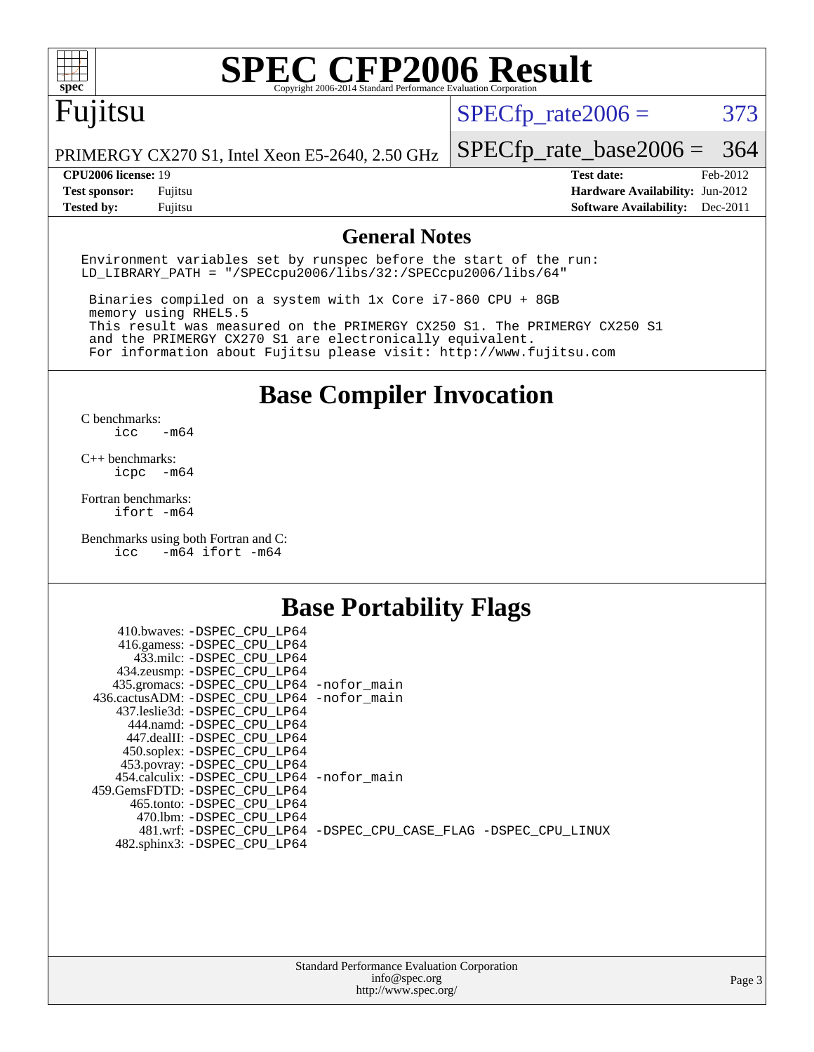

# **[SPEC CFP2006 Result](http://www.spec.org/auto/cpu2006/Docs/result-fields.html#SPECCFP2006Result)**

## Fujitsu

 $SPECTp_rate2006 = 373$ 

PRIMERGY CX270 S1, Intel Xeon E5-2640, 2.50 GHz

[SPECfp\\_rate\\_base2006 =](http://www.spec.org/auto/cpu2006/Docs/result-fields.html#SPECfpratebase2006) 364

**[CPU2006 license:](http://www.spec.org/auto/cpu2006/Docs/result-fields.html#CPU2006license)** 19 **[Test date:](http://www.spec.org/auto/cpu2006/Docs/result-fields.html#Testdate)** Feb-2012 **[Test sponsor:](http://www.spec.org/auto/cpu2006/Docs/result-fields.html#Testsponsor)** Fujitsu **[Hardware Availability:](http://www.spec.org/auto/cpu2006/Docs/result-fields.html#HardwareAvailability)** Jun-2012 **[Tested by:](http://www.spec.org/auto/cpu2006/Docs/result-fields.html#Testedby)** Fujitsu **[Software Availability:](http://www.spec.org/auto/cpu2006/Docs/result-fields.html#SoftwareAvailability)** Dec-2011

#### **[General Notes](http://www.spec.org/auto/cpu2006/Docs/result-fields.html#GeneralNotes)**

Environment variables set by runspec before the start of the run: LD\_LIBRARY\_PATH = "/SPECcpu2006/libs/32:/SPECcpu2006/libs/64"

 Binaries compiled on a system with 1x Core i7-860 CPU + 8GB memory using RHEL5.5 This result was measured on the PRIMERGY CX250 S1. The PRIMERGY CX250 S1 and the PRIMERGY CX270 S1 are electronically equivalent. For information about Fujitsu please visit: <http://www.fujitsu.com>

**[Base Compiler Invocation](http://www.spec.org/auto/cpu2006/Docs/result-fields.html#BaseCompilerInvocation)**

 $C$  benchmarks:<br>icc  $-m64$ 

[C++ benchmarks:](http://www.spec.org/auto/cpu2006/Docs/result-fields.html#CXXbenchmarks) [icpc -m64](http://www.spec.org/cpu2006/results/res2012q3/cpu2006-20120620-23069.flags.html#user_CXXbase_intel_icpc_64bit_bedb90c1146cab66620883ef4f41a67e)

[Fortran benchmarks](http://www.spec.org/auto/cpu2006/Docs/result-fields.html#Fortranbenchmarks): [ifort -m64](http://www.spec.org/cpu2006/results/res2012q3/cpu2006-20120620-23069.flags.html#user_FCbase_intel_ifort_64bit_ee9d0fb25645d0210d97eb0527dcc06e)

[Benchmarks using both Fortran and C](http://www.spec.org/auto/cpu2006/Docs/result-fields.html#BenchmarksusingbothFortranandC): [icc -m64](http://www.spec.org/cpu2006/results/res2012q3/cpu2006-20120620-23069.flags.html#user_CC_FCbase_intel_icc_64bit_0b7121f5ab7cfabee23d88897260401c) [ifort -m64](http://www.spec.org/cpu2006/results/res2012q3/cpu2006-20120620-23069.flags.html#user_CC_FCbase_intel_ifort_64bit_ee9d0fb25645d0210d97eb0527dcc06e)

#### **[Base Portability Flags](http://www.spec.org/auto/cpu2006/Docs/result-fields.html#BasePortabilityFlags)**

| 410.bwaves: -DSPEC CPU LP64                 |                                                                |
|---------------------------------------------|----------------------------------------------------------------|
| 416.gamess: -DSPEC_CPU_LP64                 |                                                                |
| 433.milc: -DSPEC CPU LP64                   |                                                                |
| 434.zeusmp: - DSPEC_CPU_LP64                |                                                                |
| 435.gromacs: -DSPEC_CPU_LP64 -nofor_main    |                                                                |
| 436.cactusADM: -DSPEC CPU LP64 -nofor main  |                                                                |
| 437.leslie3d: -DSPEC CPU LP64               |                                                                |
| 444.namd: -DSPEC CPU LP64                   |                                                                |
| 447.dealII: -DSPEC_CPU LP64                 |                                                                |
| 450.soplex: -DSPEC_CPU_LP64                 |                                                                |
| 453.povray: -DSPEC_CPU_LP64                 |                                                                |
| 454.calculix: - DSPEC CPU LP64 - nofor main |                                                                |
| 459. GemsFDTD: - DSPEC CPU LP64             |                                                                |
| 465.tonto: - DSPEC CPU LP64                 |                                                                |
| 470.1bm: - DSPEC_CPU LP64                   |                                                                |
|                                             | 481.wrf: -DSPEC CPU_LP64 -DSPEC_CPU_CASE_FLAG -DSPEC_CPU_LINUX |
| 482.sphinx3: -DSPEC_CPU_LP64                |                                                                |
|                                             |                                                                |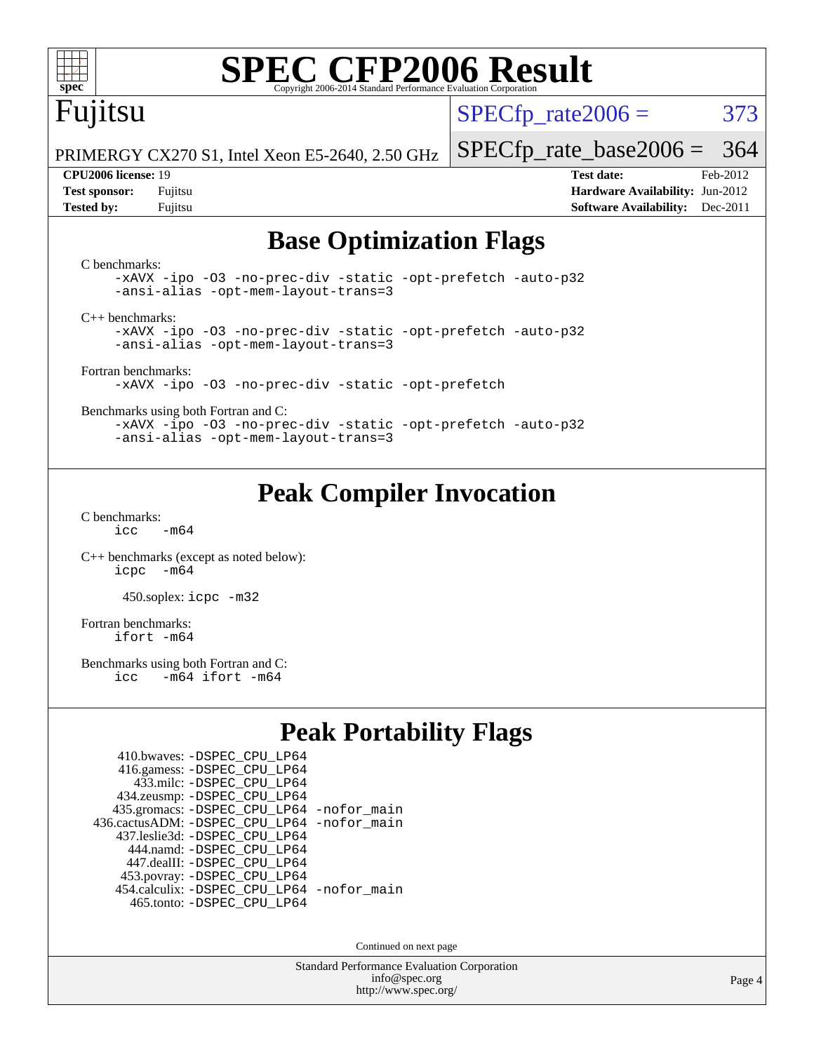

# **[SPEC CFP2006 Result](http://www.spec.org/auto/cpu2006/Docs/result-fields.html#SPECCFP2006Result)**

## Fujitsu

 $SPECTp\_rate2006 = 373$ 

PRIMERGY CX270 S1, Intel Xeon E5-2640, 2.50 GHz

[SPECfp\\_rate\\_base2006 =](http://www.spec.org/auto/cpu2006/Docs/result-fields.html#SPECfpratebase2006) 364

**[CPU2006 license:](http://www.spec.org/auto/cpu2006/Docs/result-fields.html#CPU2006license)** 19 **[Test date:](http://www.spec.org/auto/cpu2006/Docs/result-fields.html#Testdate)** Feb-2012 **[Test sponsor:](http://www.spec.org/auto/cpu2006/Docs/result-fields.html#Testsponsor)** Fujitsu **[Hardware Availability:](http://www.spec.org/auto/cpu2006/Docs/result-fields.html#HardwareAvailability)** Jun-2012 **[Tested by:](http://www.spec.org/auto/cpu2006/Docs/result-fields.html#Testedby)** Fujitsu **[Software Availability:](http://www.spec.org/auto/cpu2006/Docs/result-fields.html#SoftwareAvailability)** Dec-2011

#### **[Base Optimization Flags](http://www.spec.org/auto/cpu2006/Docs/result-fields.html#BaseOptimizationFlags)**

[C benchmarks](http://www.spec.org/auto/cpu2006/Docs/result-fields.html#Cbenchmarks): [-xAVX](http://www.spec.org/cpu2006/results/res2012q3/cpu2006-20120620-23069.flags.html#user_CCbase_f-xAVX) [-ipo](http://www.spec.org/cpu2006/results/res2012q3/cpu2006-20120620-23069.flags.html#user_CCbase_f-ipo) [-O3](http://www.spec.org/cpu2006/results/res2012q3/cpu2006-20120620-23069.flags.html#user_CCbase_f-O3) [-no-prec-div](http://www.spec.org/cpu2006/results/res2012q3/cpu2006-20120620-23069.flags.html#user_CCbase_f-no-prec-div) [-static](http://www.spec.org/cpu2006/results/res2012q3/cpu2006-20120620-23069.flags.html#user_CCbase_f-static) [-opt-prefetch](http://www.spec.org/cpu2006/results/res2012q3/cpu2006-20120620-23069.flags.html#user_CCbase_f-opt-prefetch) [-auto-p32](http://www.spec.org/cpu2006/results/res2012q3/cpu2006-20120620-23069.flags.html#user_CCbase_f-auto-p32) [-ansi-alias](http://www.spec.org/cpu2006/results/res2012q3/cpu2006-20120620-23069.flags.html#user_CCbase_f-ansi-alias) [-opt-mem-layout-trans=3](http://www.spec.org/cpu2006/results/res2012q3/cpu2006-20120620-23069.flags.html#user_CCbase_f-opt-mem-layout-trans_a7b82ad4bd7abf52556d4961a2ae94d5) [C++ benchmarks:](http://www.spec.org/auto/cpu2006/Docs/result-fields.html#CXXbenchmarks) [-xAVX](http://www.spec.org/cpu2006/results/res2012q3/cpu2006-20120620-23069.flags.html#user_CXXbase_f-xAVX) [-ipo](http://www.spec.org/cpu2006/results/res2012q3/cpu2006-20120620-23069.flags.html#user_CXXbase_f-ipo) [-O3](http://www.spec.org/cpu2006/results/res2012q3/cpu2006-20120620-23069.flags.html#user_CXXbase_f-O3) [-no-prec-div](http://www.spec.org/cpu2006/results/res2012q3/cpu2006-20120620-23069.flags.html#user_CXXbase_f-no-prec-div) [-static](http://www.spec.org/cpu2006/results/res2012q3/cpu2006-20120620-23069.flags.html#user_CXXbase_f-static) [-opt-prefetch](http://www.spec.org/cpu2006/results/res2012q3/cpu2006-20120620-23069.flags.html#user_CXXbase_f-opt-prefetch) [-auto-p32](http://www.spec.org/cpu2006/results/res2012q3/cpu2006-20120620-23069.flags.html#user_CXXbase_f-auto-p32) [-ansi-alias](http://www.spec.org/cpu2006/results/res2012q3/cpu2006-20120620-23069.flags.html#user_CXXbase_f-ansi-alias) [-opt-mem-layout-trans=3](http://www.spec.org/cpu2006/results/res2012q3/cpu2006-20120620-23069.flags.html#user_CXXbase_f-opt-mem-layout-trans_a7b82ad4bd7abf52556d4961a2ae94d5) [Fortran benchmarks](http://www.spec.org/auto/cpu2006/Docs/result-fields.html#Fortranbenchmarks): [-xAVX](http://www.spec.org/cpu2006/results/res2012q3/cpu2006-20120620-23069.flags.html#user_FCbase_f-xAVX) [-ipo](http://www.spec.org/cpu2006/results/res2012q3/cpu2006-20120620-23069.flags.html#user_FCbase_f-ipo) [-O3](http://www.spec.org/cpu2006/results/res2012q3/cpu2006-20120620-23069.flags.html#user_FCbase_f-O3) [-no-prec-div](http://www.spec.org/cpu2006/results/res2012q3/cpu2006-20120620-23069.flags.html#user_FCbase_f-no-prec-div) [-static](http://www.spec.org/cpu2006/results/res2012q3/cpu2006-20120620-23069.flags.html#user_FCbase_f-static) [-opt-prefetch](http://www.spec.org/cpu2006/results/res2012q3/cpu2006-20120620-23069.flags.html#user_FCbase_f-opt-prefetch) [Benchmarks using both Fortran and C](http://www.spec.org/auto/cpu2006/Docs/result-fields.html#BenchmarksusingbothFortranandC): [-xAVX](http://www.spec.org/cpu2006/results/res2012q3/cpu2006-20120620-23069.flags.html#user_CC_FCbase_f-xAVX) [-ipo](http://www.spec.org/cpu2006/results/res2012q3/cpu2006-20120620-23069.flags.html#user_CC_FCbase_f-ipo) [-O3](http://www.spec.org/cpu2006/results/res2012q3/cpu2006-20120620-23069.flags.html#user_CC_FCbase_f-O3) [-no-prec-div](http://www.spec.org/cpu2006/results/res2012q3/cpu2006-20120620-23069.flags.html#user_CC_FCbase_f-no-prec-div) [-static](http://www.spec.org/cpu2006/results/res2012q3/cpu2006-20120620-23069.flags.html#user_CC_FCbase_f-static) [-opt-prefetch](http://www.spec.org/cpu2006/results/res2012q3/cpu2006-20120620-23069.flags.html#user_CC_FCbase_f-opt-prefetch) [-auto-p32](http://www.spec.org/cpu2006/results/res2012q3/cpu2006-20120620-23069.flags.html#user_CC_FCbase_f-auto-p32) [-ansi-alias](http://www.spec.org/cpu2006/results/res2012q3/cpu2006-20120620-23069.flags.html#user_CC_FCbase_f-ansi-alias) [-opt-mem-layout-trans=3](http://www.spec.org/cpu2006/results/res2012q3/cpu2006-20120620-23069.flags.html#user_CC_FCbase_f-opt-mem-layout-trans_a7b82ad4bd7abf52556d4961a2ae94d5)

### **[Peak Compiler Invocation](http://www.spec.org/auto/cpu2006/Docs/result-fields.html#PeakCompilerInvocation)**

[C benchmarks](http://www.spec.org/auto/cpu2006/Docs/result-fields.html#Cbenchmarks):  $icc$   $-m64$ 

[C++ benchmarks \(except as noted below\):](http://www.spec.org/auto/cpu2006/Docs/result-fields.html#CXXbenchmarksexceptasnotedbelow) [icpc -m64](http://www.spec.org/cpu2006/results/res2012q3/cpu2006-20120620-23069.flags.html#user_CXXpeak_intel_icpc_64bit_bedb90c1146cab66620883ef4f41a67e)

450.soplex: [icpc -m32](http://www.spec.org/cpu2006/results/res2012q3/cpu2006-20120620-23069.flags.html#user_peakCXXLD450_soplex_intel_icpc_4e5a5ef1a53fd332b3c49e69c3330699)

[Fortran benchmarks](http://www.spec.org/auto/cpu2006/Docs/result-fields.html#Fortranbenchmarks): [ifort -m64](http://www.spec.org/cpu2006/results/res2012q3/cpu2006-20120620-23069.flags.html#user_FCpeak_intel_ifort_64bit_ee9d0fb25645d0210d97eb0527dcc06e)

[Benchmarks using both Fortran and C](http://www.spec.org/auto/cpu2006/Docs/result-fields.html#BenchmarksusingbothFortranandC):<br>icc -m64 ifort -m64  $-m64$  ifort  $-m64$ 

#### **[Peak Portability Flags](http://www.spec.org/auto/cpu2006/Docs/result-fields.html#PeakPortabilityFlags)**

| 410.bwaves: - DSPEC CPU LP64                 |  |
|----------------------------------------------|--|
| 416.gamess: -DSPEC_CPU_LP64                  |  |
| 433.milc: -DSPEC CPU LP64                    |  |
| 434.zeusmp: - DSPEC_CPU_LP64                 |  |
| 435.gromacs: -DSPEC_CPU_LP64 -nofor_main     |  |
| 436.cactusADM: - DSPEC CPU LP64 - nofor main |  |
| 437.leslie3d: -DSPEC CPU LP64                |  |
| 444.namd: - DSPEC CPU LP64                   |  |
| 447.dealII: -DSPEC CPU LP64                  |  |
| 453.povray: -DSPEC_CPU_LP64                  |  |
| 454.calculix: - DSPEC CPU LP64 - nofor main  |  |
| 465.tonto: -DSPEC CPU LP64                   |  |

Continued on next page

Standard Performance Evaluation Corporation [info@spec.org](mailto:info@spec.org) <http://www.spec.org/>

Page 4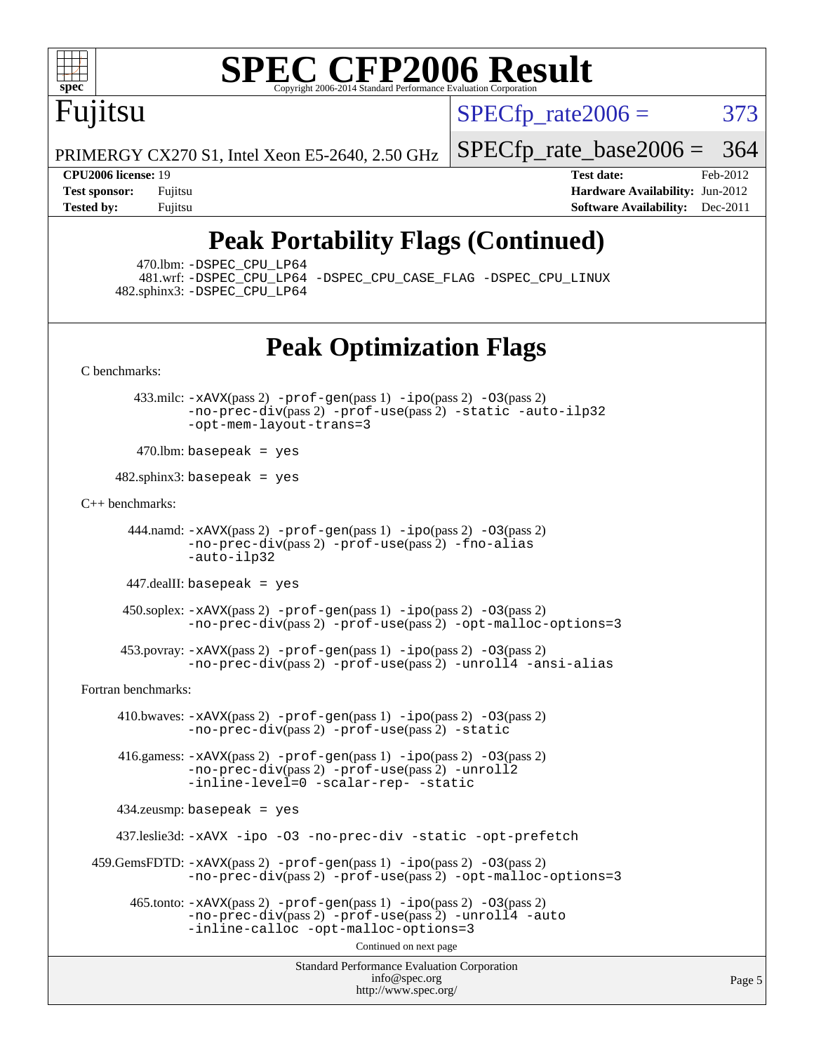

# **[SPEC CFP2006 Result](http://www.spec.org/auto/cpu2006/Docs/result-fields.html#SPECCFP2006Result)**

Fujitsu

 $SPECTp\_rate2006 = 373$ 

PRIMERGY CX270 S1, Intel Xeon E5-2640, 2.50 GHz

**[Test sponsor:](http://www.spec.org/auto/cpu2006/Docs/result-fields.html#Testsponsor)** Fujitsu **[Hardware Availability:](http://www.spec.org/auto/cpu2006/Docs/result-fields.html#HardwareAvailability)** Jun-2012 **[Tested by:](http://www.spec.org/auto/cpu2006/Docs/result-fields.html#Testedby)** Fujitsu **Fugital Example 2011 [Software Availability:](http://www.spec.org/auto/cpu2006/Docs/result-fields.html#SoftwareAvailability)** Dec-2011

[SPECfp\\_rate\\_base2006 =](http://www.spec.org/auto/cpu2006/Docs/result-fields.html#SPECfpratebase2006) 364 **[CPU2006 license:](http://www.spec.org/auto/cpu2006/Docs/result-fields.html#CPU2006license)** 19 **[Test date:](http://www.spec.org/auto/cpu2006/Docs/result-fields.html#Testdate)** Feb-2012

## **[Peak Portability Flags \(Continued\)](http://www.spec.org/auto/cpu2006/Docs/result-fields.html#PeakPortabilityFlags)**

470.lbm: [-DSPEC\\_CPU\\_LP64](http://www.spec.org/cpu2006/results/res2012q3/cpu2006-20120620-23069.flags.html#suite_peakPORTABILITY470_lbm_DSPEC_CPU_LP64)

 481.wrf: [-DSPEC\\_CPU\\_LP64](http://www.spec.org/cpu2006/results/res2012q3/cpu2006-20120620-23069.flags.html#suite_peakPORTABILITY481_wrf_DSPEC_CPU_LP64) [-DSPEC\\_CPU\\_CASE\\_FLAG](http://www.spec.org/cpu2006/results/res2012q3/cpu2006-20120620-23069.flags.html#b481.wrf_peakCPORTABILITY_DSPEC_CPU_CASE_FLAG) [-DSPEC\\_CPU\\_LINUX](http://www.spec.org/cpu2006/results/res2012q3/cpu2006-20120620-23069.flags.html#b481.wrf_peakCPORTABILITY_DSPEC_CPU_LINUX) 482.sphinx3: [-DSPEC\\_CPU\\_LP64](http://www.spec.org/cpu2006/results/res2012q3/cpu2006-20120620-23069.flags.html#suite_peakPORTABILITY482_sphinx3_DSPEC_CPU_LP64)

### **[Peak Optimization Flags](http://www.spec.org/auto/cpu2006/Docs/result-fields.html#PeakOptimizationFlags)**

[C benchmarks](http://www.spec.org/auto/cpu2006/Docs/result-fields.html#Cbenchmarks):

 433.milc: [-xAVX](http://www.spec.org/cpu2006/results/res2012q3/cpu2006-20120620-23069.flags.html#user_peakPASS2_CFLAGSPASS2_LDFLAGS433_milc_f-xAVX)(pass 2) [-prof-gen](http://www.spec.org/cpu2006/results/res2012q3/cpu2006-20120620-23069.flags.html#user_peakPASS1_CFLAGSPASS1_LDFLAGS433_milc_prof_gen_e43856698f6ca7b7e442dfd80e94a8fc)(pass 1) [-ipo](http://www.spec.org/cpu2006/results/res2012q3/cpu2006-20120620-23069.flags.html#user_peakPASS2_CFLAGSPASS2_LDFLAGS433_milc_f-ipo)(pass 2) [-O3](http://www.spec.org/cpu2006/results/res2012q3/cpu2006-20120620-23069.flags.html#user_peakPASS2_CFLAGSPASS2_LDFLAGS433_milc_f-O3)(pass 2) [-no-prec-div](http://www.spec.org/cpu2006/results/res2012q3/cpu2006-20120620-23069.flags.html#user_peakPASS2_CFLAGSPASS2_LDFLAGS433_milc_f-no-prec-div)(pass 2) [-prof-use](http://www.spec.org/cpu2006/results/res2012q3/cpu2006-20120620-23069.flags.html#user_peakPASS2_CFLAGSPASS2_LDFLAGS433_milc_prof_use_bccf7792157ff70d64e32fe3e1250b55)(pass 2) [-static](http://www.spec.org/cpu2006/results/res2012q3/cpu2006-20120620-23069.flags.html#user_peakOPTIMIZE433_milc_f-static) [-auto-ilp32](http://www.spec.org/cpu2006/results/res2012q3/cpu2006-20120620-23069.flags.html#user_peakCOPTIMIZE433_milc_f-auto-ilp32) [-opt-mem-layout-trans=3](http://www.spec.org/cpu2006/results/res2012q3/cpu2006-20120620-23069.flags.html#user_peakCOPTIMIZE433_milc_f-opt-mem-layout-trans_a7b82ad4bd7abf52556d4961a2ae94d5)

 $470$ .lbm: basepeak = yes

 $482$ .sphinx $3$ : basepeak = yes

[C++ benchmarks:](http://www.spec.org/auto/cpu2006/Docs/result-fields.html#CXXbenchmarks)

 444.namd: [-xAVX](http://www.spec.org/cpu2006/results/res2012q3/cpu2006-20120620-23069.flags.html#user_peakPASS2_CXXFLAGSPASS2_LDFLAGS444_namd_f-xAVX)(pass 2) [-prof-gen](http://www.spec.org/cpu2006/results/res2012q3/cpu2006-20120620-23069.flags.html#user_peakPASS1_CXXFLAGSPASS1_LDFLAGS444_namd_prof_gen_e43856698f6ca7b7e442dfd80e94a8fc)(pass 1) [-ipo](http://www.spec.org/cpu2006/results/res2012q3/cpu2006-20120620-23069.flags.html#user_peakPASS2_CXXFLAGSPASS2_LDFLAGS444_namd_f-ipo)(pass 2) [-O3](http://www.spec.org/cpu2006/results/res2012q3/cpu2006-20120620-23069.flags.html#user_peakPASS2_CXXFLAGSPASS2_LDFLAGS444_namd_f-O3)(pass 2) [-no-prec-div](http://www.spec.org/cpu2006/results/res2012q3/cpu2006-20120620-23069.flags.html#user_peakPASS2_CXXFLAGSPASS2_LDFLAGS444_namd_f-no-prec-div)(pass 2) [-prof-use](http://www.spec.org/cpu2006/results/res2012q3/cpu2006-20120620-23069.flags.html#user_peakPASS2_CXXFLAGSPASS2_LDFLAGS444_namd_prof_use_bccf7792157ff70d64e32fe3e1250b55)(pass 2) [-fno-alias](http://www.spec.org/cpu2006/results/res2012q3/cpu2006-20120620-23069.flags.html#user_peakCXXOPTIMIZE444_namd_f-no-alias_694e77f6c5a51e658e82ccff53a9e63a) [-auto-ilp32](http://www.spec.org/cpu2006/results/res2012q3/cpu2006-20120620-23069.flags.html#user_peakCXXOPTIMIZE444_namd_f-auto-ilp32)

447.dealII: basepeak = yes

 450.soplex: [-xAVX](http://www.spec.org/cpu2006/results/res2012q3/cpu2006-20120620-23069.flags.html#user_peakPASS2_CXXFLAGSPASS2_LDFLAGS450_soplex_f-xAVX)(pass 2) [-prof-gen](http://www.spec.org/cpu2006/results/res2012q3/cpu2006-20120620-23069.flags.html#user_peakPASS1_CXXFLAGSPASS1_LDFLAGS450_soplex_prof_gen_e43856698f6ca7b7e442dfd80e94a8fc)(pass 1) [-ipo](http://www.spec.org/cpu2006/results/res2012q3/cpu2006-20120620-23069.flags.html#user_peakPASS2_CXXFLAGSPASS2_LDFLAGS450_soplex_f-ipo)(pass 2) [-O3](http://www.spec.org/cpu2006/results/res2012q3/cpu2006-20120620-23069.flags.html#user_peakPASS2_CXXFLAGSPASS2_LDFLAGS450_soplex_f-O3)(pass 2) [-no-prec-div](http://www.spec.org/cpu2006/results/res2012q3/cpu2006-20120620-23069.flags.html#user_peakPASS2_CXXFLAGSPASS2_LDFLAGS450_soplex_f-no-prec-div)(pass 2) [-prof-use](http://www.spec.org/cpu2006/results/res2012q3/cpu2006-20120620-23069.flags.html#user_peakPASS2_CXXFLAGSPASS2_LDFLAGS450_soplex_prof_use_bccf7792157ff70d64e32fe3e1250b55)(pass 2) [-opt-malloc-options=3](http://www.spec.org/cpu2006/results/res2012q3/cpu2006-20120620-23069.flags.html#user_peakOPTIMIZE450_soplex_f-opt-malloc-options_13ab9b803cf986b4ee62f0a5998c2238)

 453.povray: [-xAVX](http://www.spec.org/cpu2006/results/res2012q3/cpu2006-20120620-23069.flags.html#user_peakPASS2_CXXFLAGSPASS2_LDFLAGS453_povray_f-xAVX)(pass 2) [-prof-gen](http://www.spec.org/cpu2006/results/res2012q3/cpu2006-20120620-23069.flags.html#user_peakPASS1_CXXFLAGSPASS1_LDFLAGS453_povray_prof_gen_e43856698f6ca7b7e442dfd80e94a8fc)(pass 1) [-ipo](http://www.spec.org/cpu2006/results/res2012q3/cpu2006-20120620-23069.flags.html#user_peakPASS2_CXXFLAGSPASS2_LDFLAGS453_povray_f-ipo)(pass 2) [-O3](http://www.spec.org/cpu2006/results/res2012q3/cpu2006-20120620-23069.flags.html#user_peakPASS2_CXXFLAGSPASS2_LDFLAGS453_povray_f-O3)(pass 2)  $-$ no-prec-div(pass 2) [-prof-use](http://www.spec.org/cpu2006/results/res2012q3/cpu2006-20120620-23069.flags.html#user_peakPASS2_CXXFLAGSPASS2_LDFLAGS453_povray_prof_use_bccf7792157ff70d64e32fe3e1250b55)(pass 2) [-unroll4](http://www.spec.org/cpu2006/results/res2012q3/cpu2006-20120620-23069.flags.html#user_peakCXXOPTIMIZE453_povray_f-unroll_4e5e4ed65b7fd20bdcd365bec371b81f) [-ansi-alias](http://www.spec.org/cpu2006/results/res2012q3/cpu2006-20120620-23069.flags.html#user_peakCXXOPTIMIZE453_povray_f-ansi-alias)

[Fortran benchmarks](http://www.spec.org/auto/cpu2006/Docs/result-fields.html#Fortranbenchmarks):

 410.bwaves: [-xAVX](http://www.spec.org/cpu2006/results/res2012q3/cpu2006-20120620-23069.flags.html#user_peakPASS2_FFLAGSPASS2_LDFLAGS410_bwaves_f-xAVX)(pass 2) [-prof-gen](http://www.spec.org/cpu2006/results/res2012q3/cpu2006-20120620-23069.flags.html#user_peakPASS1_FFLAGSPASS1_LDFLAGS410_bwaves_prof_gen_e43856698f6ca7b7e442dfd80e94a8fc)(pass 1) [-ipo](http://www.spec.org/cpu2006/results/res2012q3/cpu2006-20120620-23069.flags.html#user_peakPASS2_FFLAGSPASS2_LDFLAGS410_bwaves_f-ipo)(pass 2) [-O3](http://www.spec.org/cpu2006/results/res2012q3/cpu2006-20120620-23069.flags.html#user_peakPASS2_FFLAGSPASS2_LDFLAGS410_bwaves_f-O3)(pass 2) [-no-prec-div](http://www.spec.org/cpu2006/results/res2012q3/cpu2006-20120620-23069.flags.html#user_peakPASS2_FFLAGSPASS2_LDFLAGS410_bwaves_f-no-prec-div)(pass 2) [-prof-use](http://www.spec.org/cpu2006/results/res2012q3/cpu2006-20120620-23069.flags.html#user_peakPASS2_FFLAGSPASS2_LDFLAGS410_bwaves_prof_use_bccf7792157ff70d64e32fe3e1250b55)(pass 2) [-static](http://www.spec.org/cpu2006/results/res2012q3/cpu2006-20120620-23069.flags.html#user_peakOPTIMIZE410_bwaves_f-static)

 416.gamess: [-xAVX](http://www.spec.org/cpu2006/results/res2012q3/cpu2006-20120620-23069.flags.html#user_peakPASS2_FFLAGSPASS2_LDFLAGS416_gamess_f-xAVX)(pass 2) [-prof-gen](http://www.spec.org/cpu2006/results/res2012q3/cpu2006-20120620-23069.flags.html#user_peakPASS1_FFLAGSPASS1_LDFLAGS416_gamess_prof_gen_e43856698f6ca7b7e442dfd80e94a8fc)(pass 1) [-ipo](http://www.spec.org/cpu2006/results/res2012q3/cpu2006-20120620-23069.flags.html#user_peakPASS2_FFLAGSPASS2_LDFLAGS416_gamess_f-ipo)(pass 2) [-O3](http://www.spec.org/cpu2006/results/res2012q3/cpu2006-20120620-23069.flags.html#user_peakPASS2_FFLAGSPASS2_LDFLAGS416_gamess_f-O3)(pass 2) [-no-prec-div](http://www.spec.org/cpu2006/results/res2012q3/cpu2006-20120620-23069.flags.html#user_peakPASS2_FFLAGSPASS2_LDFLAGS416_gamess_f-no-prec-div)(pass 2) [-prof-use](http://www.spec.org/cpu2006/results/res2012q3/cpu2006-20120620-23069.flags.html#user_peakPASS2_FFLAGSPASS2_LDFLAGS416_gamess_prof_use_bccf7792157ff70d64e32fe3e1250b55)(pass 2) [-unroll2](http://www.spec.org/cpu2006/results/res2012q3/cpu2006-20120620-23069.flags.html#user_peakOPTIMIZE416_gamess_f-unroll_784dae83bebfb236979b41d2422d7ec2) [-inline-level=0](http://www.spec.org/cpu2006/results/res2012q3/cpu2006-20120620-23069.flags.html#user_peakOPTIMIZE416_gamess_f-inline-level_318d07a09274ad25e8d15dbfaa68ba50) [-scalar-rep-](http://www.spec.org/cpu2006/results/res2012q3/cpu2006-20120620-23069.flags.html#user_peakOPTIMIZE416_gamess_f-disablescalarrep_abbcad04450fb118e4809c81d83c8a1d) [-static](http://www.spec.org/cpu2006/results/res2012q3/cpu2006-20120620-23069.flags.html#user_peakOPTIMIZE416_gamess_f-static)

434.zeusmp: basepeak = yes

437.leslie3d: [-xAVX](http://www.spec.org/cpu2006/results/res2012q3/cpu2006-20120620-23069.flags.html#user_peakOPTIMIZE437_leslie3d_f-xAVX) [-ipo](http://www.spec.org/cpu2006/results/res2012q3/cpu2006-20120620-23069.flags.html#user_peakOPTIMIZE437_leslie3d_f-ipo) [-O3](http://www.spec.org/cpu2006/results/res2012q3/cpu2006-20120620-23069.flags.html#user_peakOPTIMIZE437_leslie3d_f-O3) [-no-prec-div](http://www.spec.org/cpu2006/results/res2012q3/cpu2006-20120620-23069.flags.html#user_peakOPTIMIZE437_leslie3d_f-no-prec-div) [-static](http://www.spec.org/cpu2006/results/res2012q3/cpu2006-20120620-23069.flags.html#user_peakOPTIMIZE437_leslie3d_f-static) [-opt-prefetch](http://www.spec.org/cpu2006/results/res2012q3/cpu2006-20120620-23069.flags.html#user_peakOPTIMIZE437_leslie3d_f-opt-prefetch)

 459.GemsFDTD: [-xAVX](http://www.spec.org/cpu2006/results/res2012q3/cpu2006-20120620-23069.flags.html#user_peakPASS2_FFLAGSPASS2_LDFLAGS459_GemsFDTD_f-xAVX)(pass 2) [-prof-gen](http://www.spec.org/cpu2006/results/res2012q3/cpu2006-20120620-23069.flags.html#user_peakPASS1_FFLAGSPASS1_LDFLAGS459_GemsFDTD_prof_gen_e43856698f6ca7b7e442dfd80e94a8fc)(pass 1) [-ipo](http://www.spec.org/cpu2006/results/res2012q3/cpu2006-20120620-23069.flags.html#user_peakPASS2_FFLAGSPASS2_LDFLAGS459_GemsFDTD_f-ipo)(pass 2) [-O3](http://www.spec.org/cpu2006/results/res2012q3/cpu2006-20120620-23069.flags.html#user_peakPASS2_FFLAGSPASS2_LDFLAGS459_GemsFDTD_f-O3)(pass 2) [-no-prec-div](http://www.spec.org/cpu2006/results/res2012q3/cpu2006-20120620-23069.flags.html#user_peakPASS2_FFLAGSPASS2_LDFLAGS459_GemsFDTD_f-no-prec-div)(pass 2) [-prof-use](http://www.spec.org/cpu2006/results/res2012q3/cpu2006-20120620-23069.flags.html#user_peakPASS2_FFLAGSPASS2_LDFLAGS459_GemsFDTD_prof_use_bccf7792157ff70d64e32fe3e1250b55)(pass 2) [-opt-malloc-options=3](http://www.spec.org/cpu2006/results/res2012q3/cpu2006-20120620-23069.flags.html#user_peakOPTIMIZE459_GemsFDTD_f-opt-malloc-options_13ab9b803cf986b4ee62f0a5998c2238)

 $465$ .tonto:  $-x$ AVX(pass 2)  $-p$ rof-gen(pass 1)  $-p$ o(pass 2)  $-03$ (pass 2) [-no-prec-div](http://www.spec.org/cpu2006/results/res2012q3/cpu2006-20120620-23069.flags.html#user_peakPASS2_FFLAGSPASS2_LDFLAGS465_tonto_f-no-prec-div)(pass 2) [-prof-use](http://www.spec.org/cpu2006/results/res2012q3/cpu2006-20120620-23069.flags.html#user_peakPASS2_FFLAGSPASS2_LDFLAGS465_tonto_prof_use_bccf7792157ff70d64e32fe3e1250b55)(pass 2) [-unroll4](http://www.spec.org/cpu2006/results/res2012q3/cpu2006-20120620-23069.flags.html#user_peakOPTIMIZE465_tonto_f-unroll_4e5e4ed65b7fd20bdcd365bec371b81f) [-auto](http://www.spec.org/cpu2006/results/res2012q3/cpu2006-20120620-23069.flags.html#user_peakOPTIMIZE465_tonto_f-auto) [-inline-calloc](http://www.spec.org/cpu2006/results/res2012q3/cpu2006-20120620-23069.flags.html#user_peakOPTIMIZE465_tonto_f-inline-calloc) [-opt-malloc-options=3](http://www.spec.org/cpu2006/results/res2012q3/cpu2006-20120620-23069.flags.html#user_peakOPTIMIZE465_tonto_f-opt-malloc-options_13ab9b803cf986b4ee62f0a5998c2238)

Continued on next page

Standard Performance Evaluation Corporation [info@spec.org](mailto:info@spec.org) <http://www.spec.org/>